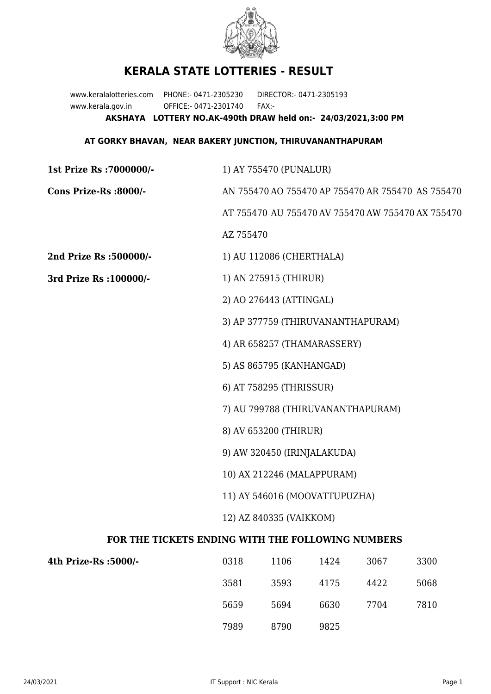

## **KERALA STATE LOTTERIES - RESULT**

www.keralalotteries.com PHONE:- 0471-2305230 DIRECTOR:- 0471-2305193 www.kerala.gov.in OFFICE:- 0471-2301740 FAX:- **AKSHAYA LOTTERY NO.AK-490th DRAW held on:- 24/03/2021,3:00 PM**

## **AT GORKY BHAVAN, NEAR BAKERY JUNCTION, THIRUVANANTHAPURAM**

| 1st Prize Rs : 7000000/-                          | 1) AY 755470 (PUNALUR)                            |                          |      |      |      |  |  |
|---------------------------------------------------|---------------------------------------------------|--------------------------|------|------|------|--|--|
| Cons Prize-Rs :8000/-                             | AN 755470 AO 755470 AP 755470 AR 755470 AS 755470 |                          |      |      |      |  |  |
|                                                   | AT 755470 AU 755470 AV 755470 AW 755470 AX 755470 |                          |      |      |      |  |  |
|                                                   | AZ 755470                                         |                          |      |      |      |  |  |
| 2nd Prize Rs :500000/-                            |                                                   | 1) AU 112086 (CHERTHALA) |      |      |      |  |  |
| 3rd Prize Rs : 100000/-                           | 1) AN 275915 (THIRUR)                             |                          |      |      |      |  |  |
|                                                   | 2) AO 276443 (ATTINGAL)                           |                          |      |      |      |  |  |
|                                                   | 3) AP 377759 (THIRUVANANTHAPURAM)                 |                          |      |      |      |  |  |
|                                                   | 4) AR 658257 (THAMARASSERY)                       |                          |      |      |      |  |  |
|                                                   | 5) AS 865795 (KANHANGAD)                          |                          |      |      |      |  |  |
|                                                   | 6) AT 758295 (THRISSUR)                           |                          |      |      |      |  |  |
|                                                   | 7) AU 799788 (THIRUVANANTHAPURAM)                 |                          |      |      |      |  |  |
|                                                   | 8) AV 653200 (THIRUR)                             |                          |      |      |      |  |  |
|                                                   | 9) AW 320450 (IRINJALAKUDA)                       |                          |      |      |      |  |  |
|                                                   | 10) AX 212246 (MALAPPURAM)                        |                          |      |      |      |  |  |
|                                                   | 11) AY 546016 (MOOVATTUPUZHA)                     |                          |      |      |      |  |  |
|                                                   | 12) AZ 840335 (VAIKKOM)                           |                          |      |      |      |  |  |
| FOR THE TICKETS ENDING WITH THE FOLLOWING NUMBERS |                                                   |                          |      |      |      |  |  |
| 4th Prize-Rs : 5000/-                             | 0318                                              | 1106                     | 1424 | 3067 | 3300 |  |  |
|                                                   | 3581                                              | 3593                     | 4175 | 4422 | 5068 |  |  |

7989 8790 9825

5659 5694 6630 7704 7810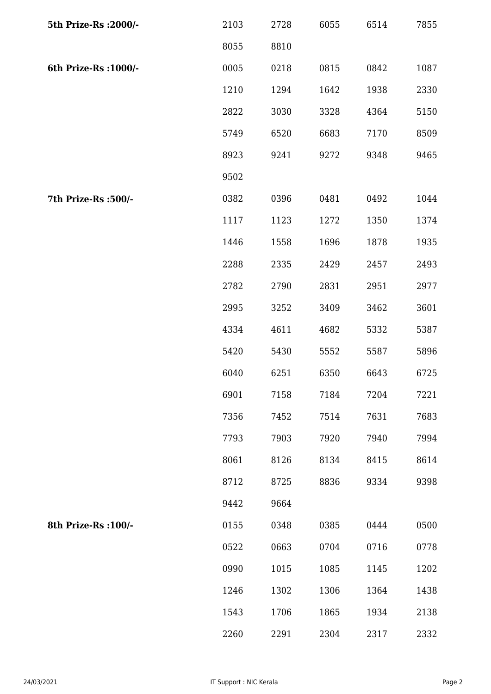| 5th Prize-Rs : 2000/- | 2103 | 2728 | 6055 | 6514 | 7855 |
|-----------------------|------|------|------|------|------|
|                       | 8055 | 8810 |      |      |      |
| 6th Prize-Rs : 1000/- | 0005 | 0218 | 0815 | 0842 | 1087 |
|                       | 1210 | 1294 | 1642 | 1938 | 2330 |
|                       | 2822 | 3030 | 3328 | 4364 | 5150 |
|                       | 5749 | 6520 | 6683 | 7170 | 8509 |
|                       | 8923 | 9241 | 9272 | 9348 | 9465 |
|                       | 9502 |      |      |      |      |
| 7th Prize-Rs : 500/-  | 0382 | 0396 | 0481 | 0492 | 1044 |
|                       | 1117 | 1123 | 1272 | 1350 | 1374 |
|                       | 1446 | 1558 | 1696 | 1878 | 1935 |
|                       | 2288 | 2335 | 2429 | 2457 | 2493 |
|                       | 2782 | 2790 | 2831 | 2951 | 2977 |
|                       | 2995 | 3252 | 3409 | 3462 | 3601 |
|                       | 4334 | 4611 | 4682 | 5332 | 5387 |
|                       | 5420 | 5430 | 5552 | 5587 | 5896 |
|                       | 6040 | 6251 | 6350 | 6643 | 6725 |
|                       | 6901 | 7158 | 7184 | 7204 | 7221 |
|                       | 7356 | 7452 | 7514 | 7631 | 7683 |
|                       | 7793 | 7903 | 7920 | 7940 | 7994 |
|                       | 8061 | 8126 | 8134 | 8415 | 8614 |
|                       | 8712 | 8725 | 8836 | 9334 | 9398 |
|                       | 9442 | 9664 |      |      |      |
| 8th Prize-Rs : 100/-  | 0155 | 0348 | 0385 | 0444 | 0500 |
|                       | 0522 | 0663 | 0704 | 0716 | 0778 |
|                       | 0990 | 1015 | 1085 | 1145 | 1202 |
|                       | 1246 | 1302 | 1306 | 1364 | 1438 |
|                       | 1543 | 1706 | 1865 | 1934 | 2138 |
|                       | 2260 | 2291 | 2304 | 2317 | 2332 |